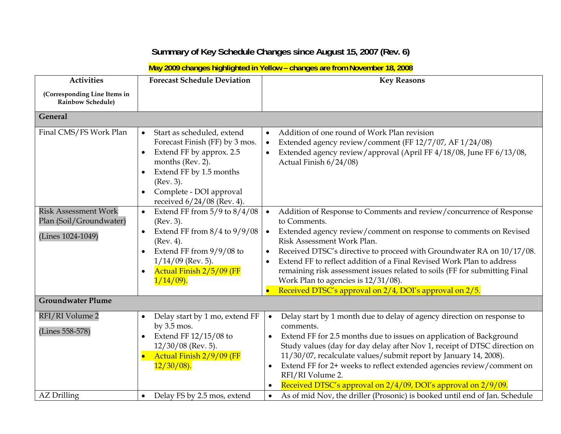## **Summary of Key Schedule Changes since August 15, 2007 (Rev. 6)**

**May 2009 changes highlighted in Yellow – changes are from November 18, 2008** 

| <b>Activities</b>                                        | <b>Forecast Schedule Deviation</b>                                                                                                                                                                                                        | <b>Key Reasons</b>                                                                                                                                                                                                                                                                                                                                                                                                                                                                                                            |
|----------------------------------------------------------|-------------------------------------------------------------------------------------------------------------------------------------------------------------------------------------------------------------------------------------------|-------------------------------------------------------------------------------------------------------------------------------------------------------------------------------------------------------------------------------------------------------------------------------------------------------------------------------------------------------------------------------------------------------------------------------------------------------------------------------------------------------------------------------|
| (Corresponding Line Items in<br><b>Rainbow Schedule)</b> |                                                                                                                                                                                                                                           |                                                                                                                                                                                                                                                                                                                                                                                                                                                                                                                               |
| General                                                  |                                                                                                                                                                                                                                           |                                                                                                                                                                                                                                                                                                                                                                                                                                                                                                                               |
| Final CMS/FS Work Plan                                   | Start as scheduled, extend<br>$\bullet$<br>Forecast Finish (FF) by 3 mos.<br>Extend FF by approx. 2.5<br>months (Rev. 2).<br>Extend FF by 1.5 months<br>$\bullet$<br>(Rev. 3).<br>Complete - DOI approval<br>received $6/24/08$ (Rev. 4). | Addition of one round of Work Plan revision<br>$\bullet$<br>Extended agency review/comment (FF 12/7/07, AF 1/24/08)<br>$\bullet$<br>Extended agency review/approval (April FF 4/18/08, June FF 6/13/08,<br>$\bullet$<br>Actual Finish 6/24/08)                                                                                                                                                                                                                                                                                |
| <b>Risk Assessment Work</b><br>Plan (Soil/Groundwater)   | Extend FF from $5/9$ to $8/4/08$<br>$\bullet$<br>(Rev. 3).                                                                                                                                                                                | Addition of Response to Comments and review/concurrence of Response<br>$\bullet$<br>to Comments.                                                                                                                                                                                                                                                                                                                                                                                                                              |
| (Lines 1024-1049)                                        | Extend FF from $8/4$ to $9/9/08$<br>$\bullet$<br>(Rev. 4).<br>Extend FF from $9/9/08$ to<br>$\bullet$<br>$1/14/09$ (Rev. 5).<br>Actual Finish 2/5/09 (FF<br>$1/14/09$ .                                                                   | Extended agency review/comment on response to comments on Revised<br>$\bullet$<br>Risk Assessment Work Plan.<br>Received DTSC's directive to proceed with Groundwater RA on 10/17/08.<br>$\bullet$<br>Extend FF to reflect addition of a Final Revised Work Plan to address<br>remaining risk assessment issues related to soils (FF for submitting Final<br>Work Plan to agencies is $12/31/08$ ).<br>Received DTSC's approval on 2/4, DOI's approval on 2/5.                                                                |
| <b>Groundwater Plume</b>                                 |                                                                                                                                                                                                                                           |                                                                                                                                                                                                                                                                                                                                                                                                                                                                                                                               |
| RFI/RI Volume 2<br>(Lines 558-578)                       | Delay start by 1 mo, extend FF<br>$\bullet$<br>by $3.5$ mos.<br>Extend FF 12/15/08 to<br>$12/30/08$ (Rev. 5).<br>Actual Finish 2/9/09 (FF<br>$12/30/08$ ).                                                                                | Delay start by 1 month due to delay of agency direction on response to<br>$\bullet$<br>comments.<br>Extend FF for 2.5 months due to issues on application of Background<br>$\bullet$<br>Study values (day for day delay after Nov 1, receipt of DTSC direction on<br>11/30/07, recalculate values/submit report by January 14, 2008).<br>Extend FF for 2+ weeks to reflect extended agencies review/comment on<br>$\bullet$<br>RFI/RI Volume 2.<br>Received DTSC's approval on 2/4/09, DOI's approval on 2/9/09.<br>$\bullet$ |
| <b>AZ</b> Drilling                                       | Delay FS by 2.5 mos, extend                                                                                                                                                                                                               | As of mid Nov, the driller (Prosonic) is booked until end of Jan. Schedule<br>$\bullet$                                                                                                                                                                                                                                                                                                                                                                                                                                       |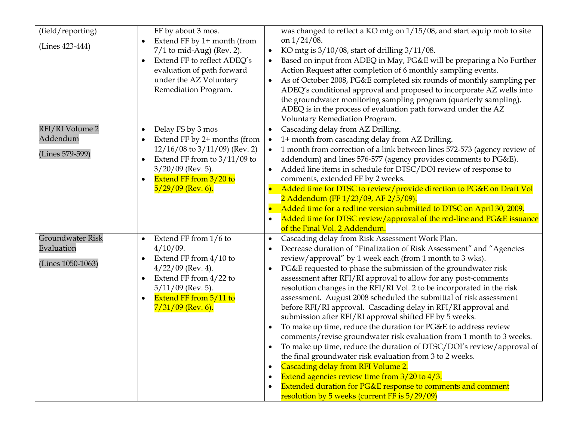| (field/reporting)<br>(Lines 423-444)                       | FF by about 3 mos.<br>Extend FF by 1+ month (from<br>$7/1$ to mid-Aug) (Rev. 2).<br>Extend FF to reflect ADEQ's<br>$\bullet$<br>evaluation of path forward<br>under the AZ Voluntary<br>Remediation Program. | was changed to reflect a KO mtg on 1/15/08, and start equip mob to site<br>on $1/24/08$ .<br>KO mtg is $3/10/08$ , start of drilling $3/11/08$ .<br>$\bullet$<br>Based on input from ADEQ in May, PG&E will be preparing a No Further<br>Action Request after completion of 6 monthly sampling events.<br>As of October 2008, PG&E completed six rounds of monthly sampling per<br>$\bullet$<br>ADEQ's conditional approval and proposed to incorporate AZ wells into<br>the groundwater monitoring sampling program (quarterly sampling).<br>ADEQ is in the process of evaluation path forward under the AZ<br>Voluntary Remediation Program.                                                                                                                                                                                                                                                                                                                                                                                                                                                                                                                          |
|------------------------------------------------------------|--------------------------------------------------------------------------------------------------------------------------------------------------------------------------------------------------------------|-------------------------------------------------------------------------------------------------------------------------------------------------------------------------------------------------------------------------------------------------------------------------------------------------------------------------------------------------------------------------------------------------------------------------------------------------------------------------------------------------------------------------------------------------------------------------------------------------------------------------------------------------------------------------------------------------------------------------------------------------------------------------------------------------------------------------------------------------------------------------------------------------------------------------------------------------------------------------------------------------------------------------------------------------------------------------------------------------------------------------------------------------------------------------|
| RFI/RI Volume 2<br>Addendum<br>(Lines 579-599)             | Delay FS by 3 mos<br>Extend FF by 2+ months (from<br>$12/16/08$ to $3/11/09$ ) (Rev. 2)<br>Extend FF from to $3/11/09$ to<br>$3/20/09$ (Rev. 5).<br>Extend FF from 3/20 to<br>$5/29/09$ (Rev. 6).            | Cascading delay from AZ Drilling.<br>$\bullet$<br>1+ month from cascading delay from AZ Drilling.<br>$\bullet$<br>1 month from correction of a link between lines 572-573 (agency review of<br>$\bullet$<br>addendum) and lines 576-577 (agency provides comments to PG&E).<br>Added line items in schedule for DTSC/DOI review of response to<br>$\bullet$<br>comments, extended FF by 2 weeks.<br>Added time for DTSC to review/provide direction to PG&E on Draft Vol<br>2 Addendum (FF 1/23/09, AF 2/5/09).<br>Added time for a redline version submitted to DTSC on April 30, 2009.<br>$\bullet$<br>Added time for DTSC review/approval of the red-line and PG&E issuance<br>of the Final Vol. 2 Addendum.                                                                                                                                                                                                                                                                                                                                                                                                                                                         |
| <b>Groundwater Risk</b><br>Evaluation<br>(Lines 1050-1063) | Extend FF from 1/6 to<br>$\bullet$<br>$4/10/09$ .<br>Extend FF from 4/10 to<br>$4/22/09$ (Rev. 4).<br>Extend FF from 4/22 to<br>$5/11/09$ (Rev. 5).<br>Extend FF from 5/11 to<br>$7/31/09$ (Rev. 6).         | Cascading delay from Risk Assessment Work Plan.<br>$\bullet$<br>Decrease duration of "Finalization of Risk Assessment" and "Agencies<br>$\bullet$<br>review/approval" by 1 week each (from 1 month to 3 wks).<br>PG&E requested to phase the submission of the groundwater risk<br>$\bullet$<br>assessment after RFI/RI approval to allow for any post-comments<br>resolution changes in the RFI/RI Vol. 2 to be incorporated in the risk<br>assessment. August 2008 scheduled the submittal of risk assessment<br>before RFI/RI approval. Cascading delay in RFI/RI approval and<br>submission after RFI/RI approval shifted FF by 5 weeks.<br>To make up time, reduce the duration for PG&E to address review<br>comments/revise groundwater risk evaluation from 1 month to 3 weeks.<br>To make up time, reduce the duration of DTSC/DOI's review/approval of<br>the final groundwater risk evaluation from 3 to 2 weeks.<br>Cascading delay from RFI Volume 2.<br>$\bullet$<br>Extend agencies review time from $3/20$ to $4/3$ .<br>$\bullet$<br>Extended duration for PG&E response to comments and comment<br>٠<br>resolution by 5 weeks (current FF is 5/29/09) |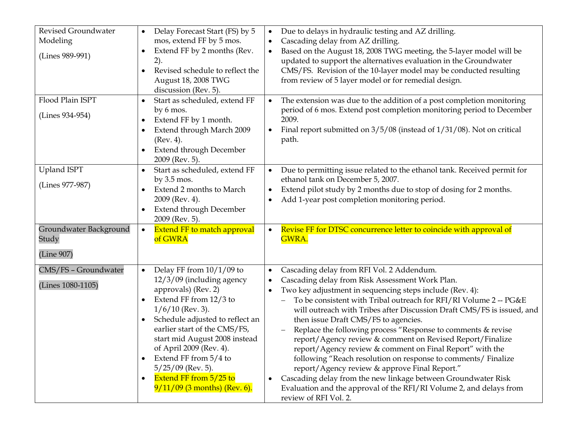| Revised Groundwater<br>Modeling<br>(Lines 989-991) | Delay Forecast Start (FS) by 5<br>$\bullet$<br>mos, extend FF by 5 mos.<br>Extend FF by 2 months (Rev.<br>2).<br>Revised schedule to reflect the<br>August 18, 2008 TWG<br>discussion (Rev. 5).                                                                                                                                                                                                                    | Due to delays in hydraulic testing and AZ drilling.<br>$\bullet$<br>Cascading delay from AZ drilling.<br>$\bullet$<br>Based on the August 18, 2008 TWG meeting, the 5-layer model will be<br>$\bullet$<br>updated to support the alternatives evaluation in the Groundwater<br>CMS/FS. Revision of the 10-layer model may be conducted resulting<br>from review of 5 layer model or for remedial design.                                                                                                                                                                                                                                                                                                                                                                                                                                                                        |
|----------------------------------------------------|--------------------------------------------------------------------------------------------------------------------------------------------------------------------------------------------------------------------------------------------------------------------------------------------------------------------------------------------------------------------------------------------------------------------|---------------------------------------------------------------------------------------------------------------------------------------------------------------------------------------------------------------------------------------------------------------------------------------------------------------------------------------------------------------------------------------------------------------------------------------------------------------------------------------------------------------------------------------------------------------------------------------------------------------------------------------------------------------------------------------------------------------------------------------------------------------------------------------------------------------------------------------------------------------------------------|
| Flood Plain ISPT<br>(Lines 934-954)                | Start as scheduled, extend FF<br>by 6 mos.<br>Extend FF by 1 month.<br>$\bullet$<br>Extend through March 2009<br>(Rev. 4).<br><b>Extend through December</b><br>$\bullet$<br>2009 (Rev. 5).                                                                                                                                                                                                                        | The extension was due to the addition of a post completion monitoring<br>$\bullet$<br>period of 6 mos. Extend post completion monitoring period to December<br>2009.<br>Final report submitted on $3/5/08$ (instead of $1/31/08$ ). Not on critical<br>path.                                                                                                                                                                                                                                                                                                                                                                                                                                                                                                                                                                                                                    |
| <b>Upland ISPT</b><br>(Lines 977-987)              | Start as scheduled, extend FF<br>by $3.5$ mos.<br>Extend 2 months to March<br>2009 (Rev. 4).<br><b>Extend through December</b><br>2009 (Rev. 5).                                                                                                                                                                                                                                                                   | Due to permitting issue related to the ethanol tank. Received permit for<br>$\bullet$<br>ethanol tank on December 5, 2007.<br>Extend pilot study by 2 months due to stop of dosing for 2 months.<br>$\bullet$<br>Add 1-year post completion monitoring period.<br>$\bullet$                                                                                                                                                                                                                                                                                                                                                                                                                                                                                                                                                                                                     |
| Groundwater Background<br>Study<br>(Line 907)      | <b>Extend FF to match approval</b><br>$\bullet$<br>of GWRA                                                                                                                                                                                                                                                                                                                                                         | Revise FF for DTSC concurrence letter to coincide with approval of<br>$\bullet$<br>GWRA.                                                                                                                                                                                                                                                                                                                                                                                                                                                                                                                                                                                                                                                                                                                                                                                        |
| CMS/FS - Groundwater<br>(Lines 1080-1105)          | Delay FF from $10/1/09$ to<br>$\bullet$<br>$12/3/09$ (including agency<br>approvals) (Rev. 2)<br>Extend FF from 12/3 to<br>$\bullet$<br>$1/6/10$ (Rev. 3).<br>Schedule adjusted to reflect an<br>$\bullet$<br>earlier start of the CMS/FS,<br>start mid August 2008 instead<br>of April 2009 (Rev. 4).<br>Extend FF from 5/4 to<br>$5/25/09$ (Rev. 5).<br>Extend FF from 5/25 to<br>$9/11/09$ (3 months) (Rev. 6). | Cascading delay from RFI Vol. 2 Addendum.<br>$\bullet$<br>Cascading delay from Risk Assessment Work Plan.<br>$\bullet$<br>Two key adjustment in sequencing steps include (Rev. 4):<br>$\bullet$<br>To be consistent with Tribal outreach for RFI/RI Volume 2 -- PG&E<br>will outreach with Tribes after Discussion Draft CMS/FS is issued, and<br>then issue Draft CMS/FS to agencies.<br>Replace the following process "Response to comments & revise<br>report/Agency review & comment on Revised Report/Finalize<br>report/Agency review & comment on Final Report" with the<br>following "Reach resolution on response to comments/ Finalize<br>report/Agency review & approve Final Report."<br>Cascading delay from the new linkage between Groundwater Risk<br>$\bullet$<br>Evaluation and the approval of the RFI/RI Volume 2, and delays from<br>review of RFI Vol. 2. |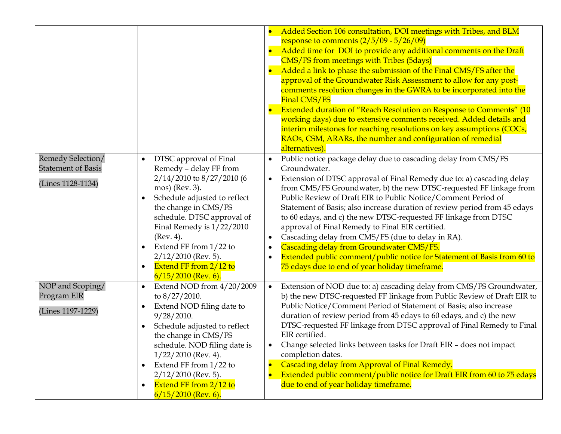|                                                                     |                                                                                                                                                                                                                                                                                                                                                                   | Added Section 106 consultation, DOI meetings with Tribes, and BLM<br>$\bullet$<br>response to comments $\left(\frac{2}{5}\right)$ 09 - $\frac{5}{26}$ 09)<br>Added time for DOI to provide any additional comments on the Draft<br>$\bullet$<br><b>CMS/FS from meetings with Tribes (5days)</b><br>Added a link to phase the submission of the Final CMS/FS after the<br>$\bullet$<br>approval of the Groundwater Risk Assessment to allow for any post-<br>comments resolution changes in the GWRA to be incorporated into the<br>Final CMS/FS<br>Extended duration of "Reach Resolution on Response to Comments" (10<br>$\bullet$<br>working days) due to extensive comments received. Added details and<br>interim milestones for reaching resolutions on key assumptions (COCs,<br>RAOs, CSM, ARARs, the number and configuration of remedial<br>alternatives). |
|---------------------------------------------------------------------|-------------------------------------------------------------------------------------------------------------------------------------------------------------------------------------------------------------------------------------------------------------------------------------------------------------------------------------------------------------------|---------------------------------------------------------------------------------------------------------------------------------------------------------------------------------------------------------------------------------------------------------------------------------------------------------------------------------------------------------------------------------------------------------------------------------------------------------------------------------------------------------------------------------------------------------------------------------------------------------------------------------------------------------------------------------------------------------------------------------------------------------------------------------------------------------------------------------------------------------------------|
| Remedy Selection/<br><b>Statement of Basis</b><br>(Lines 1128-1134) | DTSC approval of Final<br>$\bullet$<br>Remedy - delay FF from<br>2/14/2010 to 8/27/2010 (6<br>mos) (Rev. 3).<br>Schedule adjusted to reflect<br>the change in CMS/FS<br>schedule. DTSC approval of<br>Final Remedy is $1/22/2010$<br>(Rev. 4).<br>Extend FF from 1/22 to<br>$2/12/2010$ (Rev. 5).<br>Extend FF from 2/12 to<br>$\bullet$<br>$6/15/2010$ (Rev. 6). | Public notice package delay due to cascading delay from CMS/FS<br>$\bullet$<br>Groundwater.<br>Extension of DTSC approval of Final Remedy due to: a) cascading delay<br>$\bullet$<br>from CMS/FS Groundwater, b) the new DTSC-requested FF linkage from<br>Public Review of Draft EIR to Public Notice/Comment Period of<br>Statement of Basis; also increase duration of review period from 45 edays<br>to 60 edays, and c) the new DTSC-requested FF linkage from DTSC<br>approval of Final Remedy to Final EIR certified.<br>Cascading delay from CMS/FS (due to delay in RA).<br>$\bullet$<br>Cascading delay from Groundwater CMS/FS.<br>$\bullet$<br>Extended public comment/public notice for Statement of Basis from 60 to<br>$\bullet$<br>75 edays due to end of year holiday timeframe.                                                                   |
| NOP and Scoping/<br>Program EIR<br>(Lines 1197-1229)                | Extend NOD from 4/20/2009<br>$\bullet$<br>to $8/27/2010$ .<br>Extend NOD filing date to<br>9/28/2010.<br>Schedule adjusted to reflect<br>the change in CMS/FS<br>schedule. NOD filing date is<br>$1/22/2010$ (Rev. 4).<br>Extend FF from 1/22 to<br>$\bullet$<br>$2/12/2010$ (Rev. 5).<br>Extend FF from 2/12 to<br>$\bullet$<br>$6/15/2010$ (Rev. 6).            | Extension of NOD due to: a) cascading delay from CMS/FS Groundwater,<br>$\bullet$<br>b) the new DTSC-requested FF linkage from Public Review of Draft EIR to<br>Public Notice/Comment Period of Statement of Basis; also increase<br>duration of review period from 45 edays to 60 edays, and c) the new<br>DTSC-requested FF linkage from DTSC approval of Final Remedy to Final<br>EIR certified.<br>Change selected links between tasks for Draft EIR - does not impact<br>٠<br>completion dates.<br>Cascading delay from Approval of Final Remedy.<br>$\bullet$<br>Extended public comment/public notice for Draft EIR from 60 to 75 edays<br>$\overline{\bullet}$<br>due to end of year holiday timeframe.                                                                                                                                                     |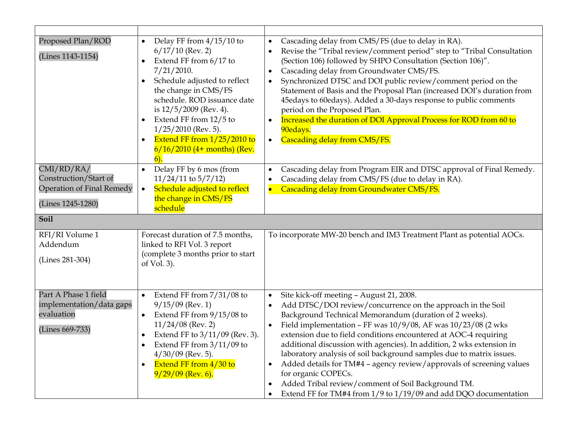| Proposed Plan/ROD<br>(Lines 1143-1154)                                                                                       | Delay FF from $4/15/10$ to<br>$\bullet$<br>$6/17/10$ (Rev. 2)<br>Extend FF from 6/17 to<br>$\bullet$<br>$7/21/2010$ .<br>Schedule adjusted to reflect<br>the change in CMS/FS<br>schedule. ROD issuance date<br>is $12/5/2009$ (Rev. 4).<br>Extend FF from 12/5 to<br>$1/25/2010$ (Rev. 5).<br>Extend FF from $1/25/2010$ to<br>$6/16/2010$ (4+ months) (Rev. | Cascading delay from CMS/FS (due to delay in RA).<br>$\bullet$<br>Revise the "Tribal review/comment period" step to "Tribal Consultation<br>$\bullet$<br>(Section 106) followed by SHPO Consultation (Section 106)".<br>Cascading delay from Groundwater CMS/FS.<br>$\bullet$<br>Synchronized DTSC and DOI public review/comment period on the<br>$\bullet$<br>Statement of Basis and the Proposal Plan (increased DOI's duration from<br>45edays to 60edays). Added a 30-days response to public comments<br>period on the Proposed Plan.<br>Increased the duration of DOI Approval Process for ROD from 60 to<br>$\bullet$<br>90edays.<br>Cascading delay from CMS/FS.<br>$\bullet$                                                                               |
|------------------------------------------------------------------------------------------------------------------------------|---------------------------------------------------------------------------------------------------------------------------------------------------------------------------------------------------------------------------------------------------------------------------------------------------------------------------------------------------------------|---------------------------------------------------------------------------------------------------------------------------------------------------------------------------------------------------------------------------------------------------------------------------------------------------------------------------------------------------------------------------------------------------------------------------------------------------------------------------------------------------------------------------------------------------------------------------------------------------------------------------------------------------------------------------------------------------------------------------------------------------------------------|
| CMI/RD/RA/<br>Construction/Start of<br>Operation of Final Remedy<br>(Lines 1245-1280)<br>Soil<br>RFI/RI Volume 1<br>Addendum | Delay FF by 6 mos (from<br>$\bullet$<br>$11/24/11$ to $5/7/12$ )<br>Schedule adjusted to reflect<br>$\bullet$<br>the change in CMS/FS<br>schedule<br>Forecast duration of 7.5 months,<br>linked to RFI Vol. 3 report                                                                                                                                          | Cascading delay from Program EIR and DTSC approval of Final Remedy.<br>$\bullet$<br>Cascading delay from CMS/FS (due to delay in RA).<br>$\bullet$<br>Cascading delay from Groundwater CMS/FS.<br>$\bullet$<br>To incorporate MW-20 bench and IM3 Treatment Plant as potential AOCs.                                                                                                                                                                                                                                                                                                                                                                                                                                                                                |
| (Lines 281-304)                                                                                                              | (complete 3 months prior to start<br>of Vol. 3).                                                                                                                                                                                                                                                                                                              |                                                                                                                                                                                                                                                                                                                                                                                                                                                                                                                                                                                                                                                                                                                                                                     |
| Part A Phase 1 field<br>implementation/data gaps<br>evaluation<br>(Lines 669-733)                                            | Extend FF from $7/31/08$ to<br>$\bullet$<br>$9/15/09$ (Rev. 1)<br>Extend FF from 9/15/08 to<br>$\bullet$<br>$11/24/08$ (Rev. 2)<br>Extend FF to 3/11/09 (Rev. 3).<br>Extend FF from $3/11/09$ to<br>$4/30/09$ (Rev. 5).<br>Extend FF from 4/30 to<br>$\bullet$<br>$9/29/09$ (Rev. 6).                                                                         | Site kick-off meeting - August 21, 2008.<br>$\bullet$<br>Add DTSC/DOI review/concurrence on the approach in the Soil<br>$\bullet$<br>Background Technical Memorandum (duration of 2 weeks).<br>Field implementation - FF was $10/9/08$ , AF was $10/23/08$ (2 wks<br>$\bullet$<br>extension due to field conditions encountered at AOC-4 requiring<br>additional discussion with agencies). In addition, 2 wks extension in<br>laboratory analysis of soil background samples due to matrix issues.<br>Added details for TM#4 - agency review/approvals of screening values<br>$\bullet$<br>for organic COPECs.<br>Added Tribal review/comment of Soil Background TM.<br>$\bullet$<br>Extend FF for TM#4 from 1/9 to 1/19/09 and add DQO documentation<br>$\bullet$ |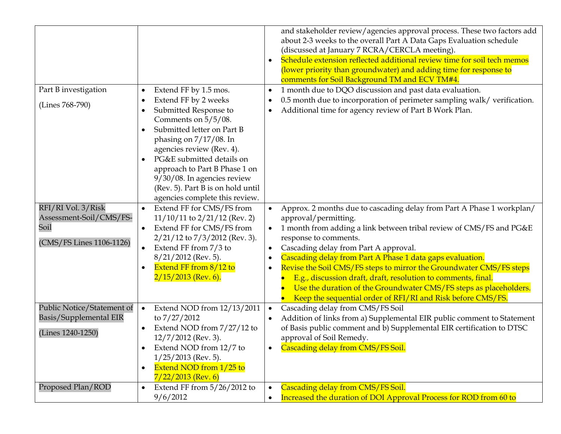| Part B investigation                                                              | Extend FF by 1.5 mos.<br>$\bullet$                                                                                                                                                                                                                                                                                                            | and stakeholder review/agencies approval process. These two factors add<br>about 2-3 weeks to the overall Part A Data Gaps Evaluation schedule<br>(discussed at January 7 RCRA/CERCLA meeting).<br>Schedule extension reflected additional review time for soil tech memos<br>$\bullet$<br>(lower priority than groundwater) and adding time for response to<br>comments for Soil Background TM and ECV TM#4.<br>1 month due to DQO discussion and past data evaluation.<br>$\bullet$                                                                                                                                               |
|-----------------------------------------------------------------------------------|-----------------------------------------------------------------------------------------------------------------------------------------------------------------------------------------------------------------------------------------------------------------------------------------------------------------------------------------------|-------------------------------------------------------------------------------------------------------------------------------------------------------------------------------------------------------------------------------------------------------------------------------------------------------------------------------------------------------------------------------------------------------------------------------------------------------------------------------------------------------------------------------------------------------------------------------------------------------------------------------------|
| (Lines 768-790)                                                                   | Extend FF by 2 weeks<br>٠<br>Submitted Response to<br>٠<br>Comments on $5/5/08$ .<br>Submitted letter on Part B<br>phasing on 7/17/08. In<br>agencies review (Rev. 4).<br>PG&E submitted details on<br>approach to Part B Phase 1 on<br>$9/30/08$ . In agencies review<br>(Rev. 5). Part B is on hold until<br>agencies complete this review. | 0.5 month due to incorporation of perimeter sampling walk/ verification.<br>$\bullet$<br>Additional time for agency review of Part B Work Plan.<br>$\bullet$                                                                                                                                                                                                                                                                                                                                                                                                                                                                        |
| RFI/RI Vol. 3/Risk<br>Assessment-Soil/CMS/FS-<br>Soil<br>(CMS/FS Lines 1106-1126) | Extend FF for CMS/FS from<br>$\bullet$<br>$11/10/11$ to $2/21/12$ (Rev. 2)<br>Extend FF for CMS/FS from<br>$\bullet$<br>$2/21/12$ to $7/3/2012$ (Rev. 3).<br>Extend FF from 7/3 to<br>$\bullet$<br>$8/21/2012$ (Rev. 5).<br>Extend FF from 8/12 to<br>$\bullet$<br>$2/15/2013$ (Rev. 6).                                                      | Approx. 2 months due to cascading delay from Part A Phase 1 workplan/<br>$\bullet$<br>approval/permitting.<br>1 month from adding a link between tribal review of CMS/FS and PG&E<br>response to comments.<br>Cascading delay from Part A approval.<br>$\bullet$<br>Cascading delay from Part A Phase 1 data gaps evaluation.<br>$\bullet$<br>Revise the Soil CMS/FS steps to mirror the Groundwater CMS/FS steps<br>$\bullet$<br>E.g., discussion draft, draft, resolution to comments, final.<br>Use the duration of the Groundwater CMS/FS steps as placeholders.<br>Keep the sequential order of RFI/RI and Risk before CMS/FS. |
| Public Notice/Statement of<br><b>Basis/Supplemental EIR</b><br>(Lines 1240-1250)  | Extend NOD from 12/13/2011<br>$\bullet$<br>to 7/27/2012<br>Extend NOD from 7/27/12 to<br>$\bullet$<br>$12/7/2012$ (Rev. 3).<br>Extend NOD from 12/7 to<br>$\bullet$<br>$1/25/2013$ (Rev. 5).<br>Extend NOD from 1/25 to<br>$\bullet$<br>$7/22/2013$ (Rev. 6)                                                                                  | Cascading delay from CMS/FS Soil<br>$\bullet$<br>Addition of links from a) Supplemental EIR public comment to Statement<br>$\bullet$<br>of Basis public comment and b) Supplemental EIR certification to DTSC<br>approval of Soil Remedy.<br>Cascading delay from CMS/FS Soil.<br>$\bullet$                                                                                                                                                                                                                                                                                                                                         |
| Proposed Plan/ROD                                                                 | Extend FF from $5/26/2012$ to<br>$\bullet$<br>9/6/2012                                                                                                                                                                                                                                                                                        | Cascading delay from CMS/FS Soil.<br>$\bullet$<br>Increased the duration of DOI Approval Process for ROD from 60 to<br>$\bullet$                                                                                                                                                                                                                                                                                                                                                                                                                                                                                                    |